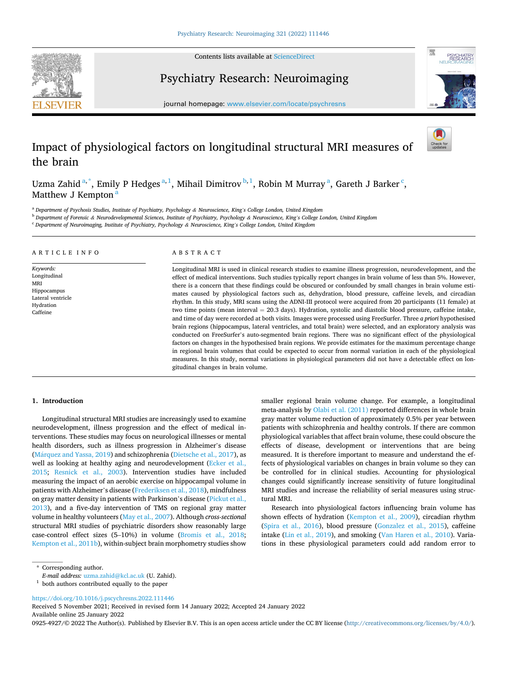Contents lists available at [ScienceDirect](www.sciencedirect.com/science/journal/09254927)

<span id="page-0-0"></span>

# Psychiatry Research: Neuroimaging



journal homepage: [www.elsevier.com/locate/psychresns](https://www.elsevier.com/locate/psychresns) 

# Impact of physiological factors on longitudinal structural MRI measures of the brain

Uzma Zahid $a^*$ , Emily P Hedges $a^1$ , Mihail Dimitrov $b^1$ , Robin M Murray $a^1$ , Gareth J Barker $\frac{c}{\overline{a}}$ , Matthew J Kempton<sup>a</sup>

<sup>a</sup> *Department of Psychosis Studies, Institute of Psychiatry, Psychology & Neuroscience, King's College London, United Kingdom* 

<sup>b</sup> *Department of Forensic & Neurodevelopmental Sciences, Institute of Psychiatry, Psychology & Neuroscience, King's College London, United Kingdom* 

<sup>c</sup> *Department of Neuroimaging, Institute of Psychiatry, Psychology & Neuroscience, King's College London, United Kingdom* 

| ARTICLE INFO | A B S T R A C T                                                                                                  |
|--------------|------------------------------------------------------------------------------------------------------------------|
| Keywords:    | Longitudinal MRI is used in clinical research studies to examine illness progression, neurodevelopment, and the  |
| Longitudinal | effect of medical interventions. Such studies typically report changes in brain volume of less than 5%. However, |
| MRI          | there is a concern that these findings could be obscured or confounded by small changes in brain volume esti-    |

rain volume of less than 5%. However, there is a concern that these findings could be obscured or confounded by small changes in brain volume estimates caused by physiological factors such as, dehydration, blood pressure, caffeine levels, and circadian rhythm. In this study, MRI scans using the ADNI-III protocol were acquired from 20 participants (11 female) at two time points (mean interval = 20.3 days). Hydration, systolic and diastolic blood pressure, caffeine intake, and time of day were recorded at both visits. Images were processed using FreeSurfer. Three *a priori* hypothesised brain regions (hippocampus, lateral ventricles, and total brain) were selected, and an exploratory analysis was conducted on FreeSurfer's auto-segmented brain regions. There was no significant effect of the physiological factors on changes in the hypothesised brain regions. We provide estimates for the maximum percentage change in regional brain volumes that could be expected to occur from normal variation in each of the physiological measures. In this study, normal variations in physiological parameters did not have a detectable effect on longitudinal changes in brain volume.

# **1. Introduction**

Hippocampus Lateral ventricle Hydration Caffeine

Longitudinal structural MRI studies are increasingly used to examine neurodevelopment, illness progression and the effect of medical interventions. These studies may focus on neurological illnesses or mental health disorders, such as illness progression in Alzheimer's disease (Márquez [and Yassa, 2019\)](#page-5-0) and schizophrenia [\(Dietsche et al., 2017](#page-4-0)), as well as looking at healthy aging and neurodevelopment [\(Ecker et al.,](#page-5-0)  [2015;](#page-5-0) [Resnick et al., 2003](#page-5-0)). Intervention studies have included measuring the impact of an aerobic exercise on hippocampal volume in patients with Alzheimer's disease ([Frederiksen et al., 2018](#page-5-0)), mindfulness on gray matter density in patients with Parkinson's disease ([Pickut et al.,](#page-5-0)  [2013\)](#page-5-0), and a five-day intervention of TMS on regional gray matter volume in healthy volunteers ([May et al., 2007\)](#page-5-0). Although *cross-sectional*  structural MRI studies of psychiatric disorders show reasonably large case-control effect sizes (5–10%) in volume ([Bromis et al., 2018](#page-4-0); [Kempton et al., 2011b\)](#page-5-0), within-subject brain morphometry studies show

smaller regional brain volume change. For example, a longitudinal meta-analysis by [Olabi et al. \(2011\)](#page-5-0) reported differences in whole brain gray matter volume reduction of approximately 0.5% per year between patients with schizophrenia and healthy controls. If there are common physiological variables that affect brain volume, these could obscure the effects of disease, development or interventions that are being measured. It is therefore important to measure and understand the effects of physiological variables on changes in brain volume so they can be controlled for in clinical studies. Accounting for physiological changes could significantly increase sensitivity of future longitudinal MRI studies and increase the reliability of serial measures using structural MRI.

Research into physiological factors influencing brain volume has shown effects of hydration ([Kempton et al., 2009](#page-5-0)), circadian rhythm ([Spira et al., 2016](#page-5-0)), blood pressure ([Gonzalez et al., 2015](#page-5-0)), caffeine intake [\(Lin et al., 2019](#page-5-0)), and smoking [\(Van Haren et al., 2010](#page-5-0)). Variations in these physiological parameters could add random error to

<https://doi.org/10.1016/j.pscychresns.2022.111446>

Available online 25 January 2022 Received 5 November 2021; Received in revised form 14 January 2022; Accepted 24 January 2022

0925-4927/© 2022 The Author(s). Published by Elsevier B.V. This is an open access article under the CC BY license [\(http://creativecommons.org/licenses/by/4.0/\)](http://creativecommons.org/licenses/by/4.0/).

<sup>\*</sup> Corresponding author.<br>E-mail address: uzma.zahid@kcl.ac.uk (U. Zahid).

<sup>&</sup>lt;sup>1</sup> both authors contributed equally to the paper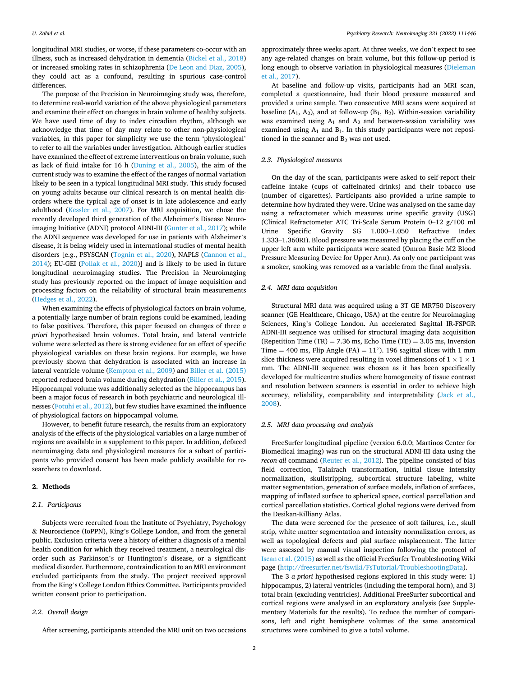<span id="page-1-0"></span>longitudinal MRI studies, or worse, if these parameters co-occur with an illness, such as increased dehydration in dementia [\(Bickel et al., 2018\)](#page-4-0) or increased smoking rates in schizophrenia [\(De Leon and Diaz, 2005](#page-4-0)), they could act as a confound, resulting in spurious case-control differences.

The purpose of the Precision in Neuroimaging study was, therefore, to determine real-world variation of the above physiological parameters and examine their effect on changes in brain volume of healthy subjects. We have used time of day to index circadian rhythm, although we acknowledge that time of day may relate to other non-physiological variables, in this paper for simplicity we use the term 'physiological' to refer to all the variables under investigation. Although earlier studies have examined the effect of extreme interventions on brain volume, such as lack of fluid intake for 16 h ([Duning et al., 2005\)](#page-4-0), the aim of the current study was to examine the effect of the ranges of normal variation likely to be seen in a typical longitudinal MRI study. This study focused on young adults because our clinical research is on mental health disorders where the typical age of onset is in late adolescence and early adulthood [\(Kessler et al., 2007\)](#page-5-0). For MRI acquisition, we chose the recently developed third generation of the Alzheimer's Disease Neuroimaging Initiative (ADNI) protocol ADNI-III ([Gunter et al., 2017\)](#page-5-0); while the ADNI sequence was developed for use in patients with Alzheimer's disease, it is being widely used in international studies of mental health disorders [e.g., PSYSCAN ([Tognin et al., 2020](#page-5-0)), NAPLS (Cannon et al., [2014\)](#page-4-0); EU-GEI [\(Pollak et al., 2020](#page-5-0))] and is likely to be used in future longitudinal neuroimaging studies. The Precision in Neuroimaging study has previously reported on the impact of image acquisition and processing factors on the reliability of structural brain measurements ([Hedges et al., 2022\)](#page-5-0).

When examining the effects of physiological factors on brain volume, a potentially large number of brain regions could be examined, leading to false positives. Therefore, this paper focused on changes of three *a priori* hypothesised brain volumes. Total brain, and lateral ventricle volume were selected as there is strong evidence for an effect of specific physiological variables on these brain regions. For example, we have previously shown that dehydration is associated with an increase in lateral ventricle volume ([Kempton et al., 2009](#page-5-0)) and [Biller et al. \(2015\)](#page-4-0)  reported reduced brain volume during dehydration ([Biller et al., 2015](#page-4-0)). Hippocampal volume was additionally selected as the hippocampus has been a major focus of research in both psychiatric and neurological illnesses [\(Fotuhi et al., 2012\)](#page-5-0), but few studies have examined the influence of physiological factors on hippocampal volume.

However, to benefit future research, the results from an exploratory analysis of the effects of the physiological variables on a large number of regions are available in a supplement to this paper. In addition, defaced neuroimaging data and physiological measures for a subset of participants who provided consent has been made publicly available for researchers to download.

#### **2. Methods**

#### *2.1. Participants*

Subjects were recruited from the Institute of Psychiatry, Psychology & Neuroscience (IoPPN), King's College London, and from the general public. Exclusion criteria were a history of either a diagnosis of a mental health condition for which they received treatment, a neurological disorder such as Parkinson's or Huntington's disease, or a significant medical disorder. Furthermore, contraindication to an MRI environment excluded participants from the study. The project received approval from the King's College London Ethics Committee. Participants provided written consent prior to participation.

# *2.2. Overall design*

After screening, participants attended the MRI unit on two occasions

approximately three weeks apart. At three weeks, we don't expect to see any age-related changes on brain volume, but this follow-up period is long enough to observe variation in physiological measures [\(Dieleman](#page-4-0)  [et al., 2017\)](#page-4-0).

At baseline and follow-up visits, participants had an MRI scan, completed a questionnaire, had their blood pressure measured and provided a urine sample. Two consecutive MRI scans were acquired at baseline  $(A_1, A_2)$ , and at follow-up  $(B_1, B_2)$ . Within-session variability was examined using  $A_1$  and  $A_2$  and between-session variability was examined using  $A_1$  and  $B_1$ . In this study participants were not repositioned in the scanner and  $B_2$  was not used.

# *2.3. Physiological measures*

On the day of the scan, participants were asked to self-report their caffeine intake (cups of caffeinated drinks) and their tobacco use (number of cigarettes). Participants also provided a urine sample to determine how hydrated they were. Urine was analysed on the same day using a refractometer which measures urine specific gravity (USG) (Clinical Refractometer ATC Tri-Scale Serum Protein 0–12 g/100 ml Urine Specific Gravity SG 1.000–1.050 Refractive Index 1.333–1.360RI). Blood pressure was measured by placing the cuff on the upper left arm while participants were seated (Omron Basic M2 Blood Pressure Measuring Device for Upper Arm). As only one participant was a smoker, smoking was removed as a variable from the final analysis.

#### *2.4. MRI data acquisition*

Structural MRI data was acquired using a 3T GE MR750 Discovery scanner (GE Healthcare, Chicago, USA) at the centre for Neuroimaging Sciences, King's College London. An accelerated Sagittal IR-FSPGR ADNI-III sequence was utilised for structural imaging data acquisition (Repetition Time (TR) = 7.36 ms, Echo Time (TE) = 3.05 ms, Inversion Time = 400 ms, Flip Angle (FA) =  $11°$ ). 196 sagittal slices with 1 mm slice thickness were acquired resulting in voxel dimensions of 1  $\times$  1  $\times$  1 mm. The ADNI-III sequence was chosen as it has been specifically developed for multicentre studies where homogeneity of tissue contrast and resolution between scanners is essential in order to achieve high accuracy, reliability, comparability and interpretability ([Jack et al.,](#page-5-0)  [2008\)](#page-5-0).

#### *2.5. MRI data processing and analysis*

FreeSurfer longitudinal pipeline (version 6.0.0; Martinos Center for Biomedical imaging) was run on the structural ADNI-III data using the *recon-all command [\(Reuter et al., 2012\)](#page-5-0). The pipeline consisted of bias* field correction, Talairach transformation, initial tissue intensity normalization, skullstripping, subcortical structure labeling, white matter segmentation, generation of surface models, inflation of surfaces, mapping of inflated surface to spherical space, cortical parcellation and cortical parcellation statistics. Cortical global regions were derived from the Desikan-Killiany Atlas.

The data were screened for the presence of soft failures, i.e., skull strip, white matter segmentation and intensity normalization errors, as well as topological defects and pial surface misplacement. The latter were assessed by manual visual inspection following the protocol of [Iscan et al. \(2015\)](#page-5-0) as well as the official FreeSurfer Troubleshooting Wiki page (<http://freesurfer.net/fswiki/FsTutorial/TroubleshootingData>).

The 3 *a priori* hypothesised regions explored in this study were: 1) hippocampus, 2) lateral ventricles (including the temporal horn), and 3) total brain (excluding ventricles). Additional FreeSurfer subcortical and cortical regions were analysed in an exploratory analysis (see Supplementary Materials for the results). To reduce the number of comparisons, left and right hemisphere volumes of the same anatomical structures were combined to give a total volume.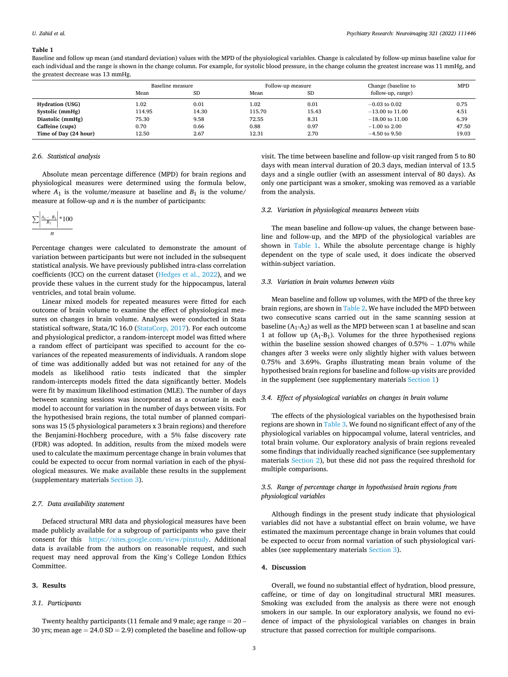#### **Table 1**

Baseline and follow up mean (and standard deviation) values with the MPD of the physiological variables. Change is calculated by follow-up minus baseline value for each individual and the range is shown in the change column. For example, for systolic blood pressure, in the change column the greatest increase was 11 mmHg, and the greatest decrease was 13 mmHg.

|                        | Baseline measure |           |        | Follow-up measure | Change (baseline to | <b>MPD</b> |
|------------------------|------------------|-----------|--------|-------------------|---------------------|------------|
|                        | Mean             | <b>SD</b> | Mean   | <b>SD</b>         | follow-up, range)   |            |
| <b>Hydration (USG)</b> | 1.02             | 0.01      | 1.02   | 0.01              | $-0.03$ to $0.02$   | 0.75       |
| Systolic (mmHg)        | 114.95           | 14.30     | 115.70 | 15.43             | $-13.00$ to $11.00$ | 4.51       |
| Diastolic (mmHg)       | 75.30            | 9.58      | 72.55  | 8.31              | $-18.00$ to $11.00$ | 6.39       |
| Caffeine (cups)        | 0.70             | 0.66      | 0.88   | 0.97              | $-1.00$ to 2.00     | 47.50      |
| Time of Day (24 hour)  | 12.50            | 2.67      | 12.31  | 2.70              | $-4.50$ to 9.50     | 19.03      |

#### *2.6. Statistical analysis*

Absolute mean percentage difference (MPD) for brain regions and physiological measures were determined using the formula below, where  $A_1$  is the volume/measure at baseline and  $B_1$  is the volume/ measure at follow-up and *n* is the number of participants:

$$
\frac{\sum \left| \frac{A_1 - B_1}{B_1} \right|}{n} \times 100
$$

Percentage changes were calculated to demonstrate the amount of variation between participants but were not included in the subsequent statistical analysis. We have previously published intra-class correlation coefficients (ICC) on the current dataset ([Hedges et al., 2022\)](#page-5-0), and we provide these values in the current study for the hippocampus, lateral ventricles, and total brain volume.

Linear mixed models for repeated measures were fitted for each outcome of brain volume to examine the effect of physiological measures on changes in brain volume. Analyses were conducted in Stata statistical software, Stata/IC 16.0 ([StataCorp, 2017](#page-5-0)). For each outcome and physiological predictor, a random-intercept model was fitted where a random effect of participant was specified to account for the covariances of the repeated measurements of individuals. A random slope of time was additionally added but was not retained for any of the models as likelihood ratio tests indicated that the simpler random-intercepts models fitted the data significantly better. Models were fit by maximum likelihood estimation (MLE). The number of days between scanning sessions was incorporated as a covariate in each model to account for variation in the number of days between visits. For the hypothesised brain regions, the total number of planned comparisons was 15 (5 physiological parameters x 3 brain regions) and therefore the Benjamini-Hochberg procedure, with a 5% false discovery rate (FDR) was adopted. In addition, results from the mixed models were used to calculate the maximum percentage change in brain volumes that could be expected to occur from normal variation in each of the physiological measures. We make available these results in the supplement (supplementary materials Section 3).

#### *2.7. Data availability statement*

Defaced structural MRI data and physiological measures have been made publicly available for a subgroup of participants who gave their consent for this <https://sites.google.com/view/pinstudy>. Additional data is available from the authors on reasonable request, and such request may need approval from the King's College London Ethics Committee.

#### **3. Results**

#### *3.1. Participants*

Twenty healthy participants (11 female and 9 male; age range  $= 20 -$ 30 yrs; mean age  $= 24.0$  SD  $= 2.9$ ) completed the baseline and follow-up visit. The time between baseline and follow-up visit ranged from 5 to 80 days with mean interval duration of 20.3 days, median interval of 13.5 days and a single outlier (with an assessment interval of 80 days). As only one participant was a smoker, smoking was removed as a variable from the analysis.

# *3.2. Variation in physiological measures between visits*

The mean baseline and follow-up values, the change between baseline and follow-up, and the MPD of the physiological variables are shown in Table 1. While the absolute percentage change is highly dependent on the type of scale used, it does indicate the observed within-subject variation.

# *3.3. Variation in brain volumes between visits*

Mean baseline and follow up volumes, with the MPD of the three key brain regions, are shown in [Table 2](#page-3-0). We have included the MPD between two consecutive scans carried out in the same scanning session at baseline  $(A_1-A_2)$  as well as the MPD between scan 1 at baseline and scan 1 at follow up  $(A_1-B_1)$ . Volumes for the three hypothesised regions within the baseline session showed changes of 0.57% – 1.07% while changes after 3 weeks were only slightly higher with values between 0.75% and 3.69%. Graphs illustrating mean brain volume of the hypothesised brain regions for baseline and follow-up visits are provided in the supplement (see supplementary materials [Section 1](#page-0-0))

### *3.4. Effect of physiological variables on changes in brain volume*

The effects of the physiological variables on the hypothesised brain regions are shown in [Table 3.](#page-3-0) We found no significant effect of any of the physiological variables on hippocampal volume, lateral ventricles, and total brain volume. Our exploratory analysis of brain regions revealed some findings that individually reached significance (see supplementary materials [Section 2](#page-1-0)), but these did not pass the required threshold for multiple comparisons.

# *3.5. Range of percentage change in hypothesised brain regions from physiological variables*

Although findings in the present study indicate that physiological variables did not have a substantial effect on brain volume, we have estimated the maximum percentage change in brain volumes that could be expected to occur from normal variation of such physiological variables (see supplementary materials Section 3).

#### **4. Discussion**

Overall, we found no substantial effect of hydration, blood pressure, caffeine, or time of day on longitudinal structural MRI measures. Smoking was excluded from the analysis as there were not enough smokers in our sample. In our exploratory analysis, we found no evidence of impact of the physiological variables on changes in brain structure that passed correction for multiple comparisons.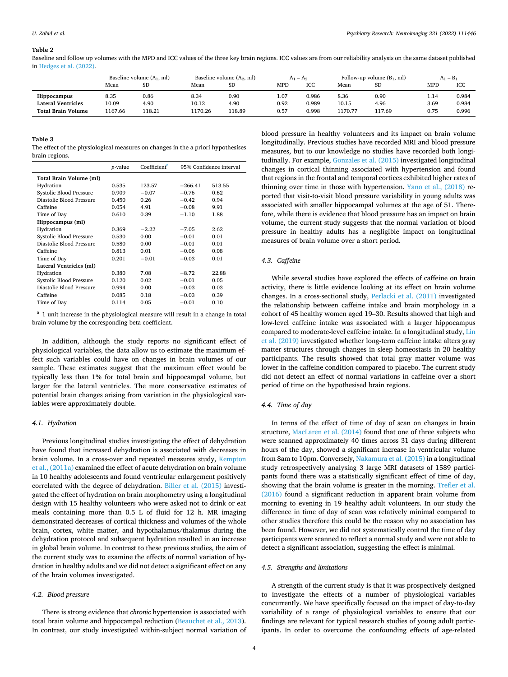<span id="page-3-0"></span>**Table 2** 

Baseline and follow up volumes with the MPD and ICC values of the three key brain regions. ICC values are from our reliability analysis on the same dataset published in [Hedges et al. \(2022\).](#page-5-0)

|                           | Baseline volume $(A_1, ml)$ |           | Baseline volume $(A_2, ml)$ |           | $A_1 - A_2$ |       | Follow-up volume $(B_1, ml)$ |           | $A_1 - B_1$ |       |
|---------------------------|-----------------------------|-----------|-----------------------------|-----------|-------------|-------|------------------------------|-----------|-------------|-------|
|                           | Mean                        | <b>SD</b> | Mean                        | <b>SD</b> | MPD         | ICC   | Mean                         | <b>SD</b> | MPD         | ICC   |
| Hippocampus               | 8.35                        | 0.86      | 8.34                        | 0.90      | 1.07        | 0.986 | 8.36                         | 0.90      | 1.14        | 0.984 |
| <b>Lateral Ventricles</b> | 10.09                       | 4.90      | 10.12                       | 4.90      | 0.92        | 0.989 | 10.15                        | 4.96      | 3.69        | 0.984 |
| <b>Total Brain Volume</b> | 1167.66                     | 118.21    | 1170.26                     | 118.89    | 0.57        | 0.998 | 1170.77                      | 117.69    | 0.75        | 0.996 |
|                           |                             |           |                             |           |             |       |                              |           |             |       |

#### **Table 3**

The effect of the physiological measures on changes in the a priori hypothesises brain regions.

|                          | <i>p</i> -value | Coefficient <sup>a</sup> | 95% Confidence interval |        |
|--------------------------|-----------------|--------------------------|-------------------------|--------|
| Total Brain Volume (ml)  |                 |                          |                         |        |
| Hydration                | 0.535           | 123.57                   | $-266.41$               | 513.55 |
| Systolic Blood Pressure  | 0.909           | $-0.07$                  | $-0.76$                 | 0.62   |
| Diastolic Blood Pressure | 0.450           | 0.26                     | $-0.42$                 | 0.94   |
| Caffeine                 | 0.054           | 4.91                     | $-0.08$                 | 9.91   |
| Time of Day              | 0.610           | 0.39                     | $-1.10$                 | 1.88   |
| Hippocampus (ml)         |                 |                          |                         |        |
| Hydration                | 0.369           | $-2.22$                  | $-7.05$                 | 2.62   |
| Systolic Blood Pressure  | 0.530           | 0.00                     | $-0.01$                 | 0.01   |
| Diastolic Blood Pressure | 0.580           | 0.00                     | $-0.01$                 | 0.01   |
| Caffeine                 | 0.813           | 0.01                     | $-0.06$                 | 0.08   |
| Time of Day              | 0.201           | $-0.01$                  | $-0.03$                 | 0.01   |
| Lateral Ventricles (ml)  |                 |                          |                         |        |
| Hydration                | 0.380           | 7.08                     | $-8.72$                 | 22.88  |
| Systolic Blood Pressure  | 0.120           | 0.02                     | $-0.01$                 | 0.05   |
| Diastolic Blood Pressure | 0.994           | 0.00                     | $-0.03$                 | 0.03   |
| Caffeine                 | 0.085           | 0.18                     | $-0.03$                 | 0.39   |
| Time of Day              | 0.114           | 0.05                     | $-0.01$                 | 0.10   |

 $a<sup>a</sup>$  1 unit increase in the physiological measure will result in a change in total brain volume by the corresponding beta coefficient.

In addition, although the study reports no significant effect of physiological variables, the data allow us to estimate the maximum effect such variables could have on changes in brain volumes of our sample. These estimates suggest that the maximum effect would be typically less than 1% for total brain and hippocampal volume, but larger for the lateral ventricles. The more conservative estimates of potential brain changes arising from variation in the physiological variables were approximately double.

#### *4.1. Hydration*

Previous longitudinal studies investigating the effect of dehydration have found that increased dehydration is associated with decreases in brain volume. In a cross-over and repeated measures study, [Kempton](#page-5-0)  [et al., \(2011a\)](#page-5-0) examined the effect of acute dehydration on brain volume in 10 healthy adolescents and found ventricular enlargement positively correlated with the degree of dehydration. [Biller et al. \(2015\)](#page-4-0) investigated the effect of hydration on brain morphometry using a longitudinal design with 15 healthy volunteers who were asked not to drink or eat meals containing more than 0.5 L of fluid for 12 h. MR imaging demonstrated decreases of cortical thickness and volumes of the whole brain, cortex, white matter, and hypothalamus/thalamus during the dehydration protocol and subsequent hydration resulted in an increase in global brain volume. In contrast to these previous studies, the aim of the current study was to examine the effects of normal variation of hydration in healthy adults and we did not detect a significant effect on any of the brain volumes investigated.

# *4.2. Blood pressure*

There is strong evidence that *chronic* hypertension is associated with total brain volume and hippocampal reduction ([Beauchet et al., 2013](#page-4-0)). In contrast, our study investigated within-subject normal variation of

blood pressure in healthy volunteers and its impact on brain volume longitudinally. Previous studies have recorded MRI and blood pressure measures, but to our knowledge no studies have recorded both longitudinally. For example, [Gonzales et al. \(2015\)](#page-5-0) investigated longitudinal changes in cortical thinning associated with hypertension and found that regions in the frontal and temporal cortices exhibited higher rates of thinning over time in those with hypertension. [Yano et al., \(2018\)](#page-5-0) reported that visit-to-visit blood pressure variability in young adults was associated with smaller hippocampal volumes at the age of 51. Therefore, while there is evidence that blood pressure has an impact on brain volume, the current study suggests that the normal variation of blood pressure in healthy adults has a negligible impact on longitudinal measures of brain volume over a short period.

#### *4.3. Caffeine*

While several studies have explored the effects of caffeine on brain activity, there is little evidence looking at its effect on brain volume changes. In a cross-sectional study, [Perlacki et al. \(2011\)](#page-5-0) investigated the relationship between caffeine intake and brain morphology in a cohort of 45 healthy women aged 19–30. Results showed that high and low-level caffeine intake was associated with a larger hippocampus compared to moderate-level caffeine intake. In a longitudinal study, [Lin](#page-5-0)  [et al. \(2019\)](#page-5-0) investigated whether long-term caffeine intake alters gray matter structures through changes in sleep homeostasis in 20 healthy participants. The results showed that total gray matter volume was lower in the caffeine condition compared to placebo. The current study did not detect an effect of normal variations in caffeine over a short period of time on the hypothesised brain regions.

#### *4.4. Time of day*

In terms of the effect of time of day of scan on changes in brain structure, [MacLaren et al. \(2014\)](#page-5-0) found that one of three subjects who were scanned approximately 40 times across 31 days during different hours of the day, showed a significant increase in ventricular volume from 8am to 10pm. Conversely, [Nakamura et al. \(2015\)](#page-5-0) in a longitudinal study retrospectively analysing 3 large MRI datasets of 1589 participants found there was a statistically significant effect of time of day, showing that the brain volume is greater in the morning. [Trefler et al.](#page-5-0)  [\(2016\)](#page-5-0) found a significant reduction in apparent brain volume from morning to evening in 19 healthy adult volunteers. In our study the difference in time of day of scan was relatively minimal compared to other studies therefore this could be the reason why no association has been found. However, we did not systematically control the time of day participants were scanned to reflect a normal study and were not able to detect a significant association, suggesting the effect is minimal.

#### *4.5. Strengths and limitations*

A strength of the current study is that it was prospectively designed to investigate the effects of a number of physiological variables concurrently. We have specifically focused on the impact of day-to-day variability of a range of physiological variables to ensure that our findings are relevant for typical research studies of young adult participants. In order to overcome the confounding effects of age-related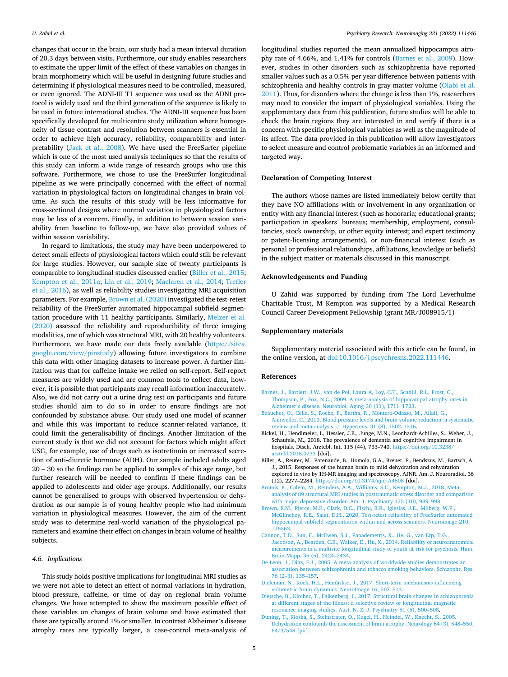<span id="page-4-0"></span>changes that occur in the brain, our study had a mean interval duration of 20.3 days between visits. Furthermore, our study enables researchers to estimate the upper limit of the effect of these variables on changes in brain morphometry which will be useful in designing future studies and determining if physiological measures need to be controlled, measured, or even ignored. The ADNI-III T1 sequence was used as the ADNI protocol is widely used and the third generation of the sequence is likely to be used in future international studies. The ADNI-III sequence has been specifically developed for multicentre study utilization where homogeneity of tissue contrast and resolution between scanners is essential in order to achieve high accuracy, reliability, comparability and interpretability ([Jack et al., 2008](#page-5-0)). We have used the FreeSurfer pipeline which is one of the most used analysis techniques so that the results of this study can inform a wide range of research groups who use this software. Furthermore, we chose to use the FreeSurfer longitudinal pipeline as we were principally concerned with the effect of normal variation in physiological factors on longitudinal changes in brain volume. As such the results of this study will be less informative for cross-sectional designs where normal variation in physiological factors may be less of a concern. Finally, in addition to between session variability from baseline to follow-up, we have also provided values of within session variability.

In regard to limitations, the study may have been underpowered to detect small effects of physiological factors which could still be relevant for large studies. However, our sample size of twenty participants is comparable to longitudinal studies discussed earlier (Biller et al., 2015; [Kempton et al., 2011a;](#page-5-0) [Lin et al., 2019;](#page-5-0) [Maclaren et al., 2014;](#page-5-0) [Trefler](#page-5-0)  [et al., 2016\)](#page-5-0), as well as reliability studies investigating MRI acquisition parameters. For example, Brown et al. (2020) investigated the test-retest reliability of the FreeSurfer automated hippocampal subfield segmentation procedure with 11 healthy participants. Similarly, [Melzer et al.](#page-5-0)  [\(2020\)](#page-5-0) assessed the reliability and reproducibility of three imaging modalities, one of which was structural MRI, with 20 healthy volunteers. Furthermore, we have made our data freely available [\(https://sites.](https://sites.google.com/view/pinstudy)  [google.com/view/pinstudy](https://sites.google.com/view/pinstudy)) allowing future investigators to combine this data with other imaging datasets to increase power. A further limitation was that for caffeine intake we relied on self-report. Self-report measures are widely used and are common tools to collect data, however, it is possible that participants may recall information inaccurately. Also, we did not carry out a urine drug test on participants and future studies should aim to do so in order to ensure findings are not confounded by substance abuse. Our study used one model of scanner and while this was important to reduce scanner-related variance, it could limit the generalisability of findings. Another limitation of the current study is that we did not account for factors which might affect USG, for example, use of drugs such as isotretinoin or increased secretion of anti-diuretic hormone (ADH). Our sample included adults aged 20 – 30 so the findings can be applied to samples of this age range, but further research will be needed to confirm if these findings can be applied to adolescents and older age groups. Additionally, our results cannot be generalised to groups with observed hypertension or dehydration as our sample is of young healthy people who had minimum variation in physiological measures. However, the aim of the current study was to determine real-world variation of the physiological parameters and examine their effect on changes in brain volume of healthy subjects.

#### *4.6. Implications*

This study holds positive implications for longitudinal MRI studies as we were not able to detect an effect of normal variations in hydration, blood pressure, caffeine, or time of day on regional brain volume changes. We have attempted to show the maximum possible effect of these variables on changes of brain volume and have estimated that these are typically around 1% or smaller. In contrast Alzheimer's disease atrophy rates are typically larger, a case-control meta-analysis of longitudinal studies reported the mean annualized hippocampus atrophy rate of 4.66%, and 1.41% for controls (Barnes et al., 2009). However, studies in other disorders such as schizophrenia have reported smaller values such as a 0.5% per year difference between patients with schizophrenia and healthy controls in gray matter volume [\(Olabi et al.](#page-5-0)  [2011\)](#page-5-0). Thus, for disorders where the change is less than 1%, researchers may need to consider the impact of physiological variables. Using the supplementary data from this publication, future studies will be able to check the brain regions they are interested in and verify if there is a concern with specific physiological variables as well as the magnitude of its affect. The data provided in this publication will allow investigators to select measure and control problematic variables in an informed and targeted way.

# **Declaration of Competing Interest**

The authors whose names are listed immediately below certify that they have NO affiliations with or involvement in any organization or entity with any financial interest (such as honoraria; educational grants; participation in speakers' bureaus; membership, employment, consultancies, stock ownership, or other equity interest; and expert testimony or patent-licensing arrangements), or non-financial interest (such as personal or professional relationships, affiliations, knowledge or beliefs) in the subject matter or materials discussed in this manuscript.

# **Acknowledgements and Funding**

U Zahid was supported by funding from The Lord Leverhulme Charitable Trust, M Kempton was supported by a Medical Research Council Career Development Fellowship (grant MR/J008915/1)

# **Supplementary materials**

Supplementary material associated with this article can be found, in the online version, at [doi:10.1016/j.pscychresns.2022.111446](https://doi.org/10.1016/j.pscychresns.2022.111446).

#### **References**

- [Barnes, J., Bartlett, J.W., van de Pol, Laura A, Loy, C.T., Scahill, R.I., Frost, C.,](http://refhub.elsevier.com/S0925-4927(22)00007-5/sbref0001)  [Thompson, P., Fox, N.C., 2009. A meta-analysis of hippocampal atrophy rates in](http://refhub.elsevier.com/S0925-4927(22)00007-5/sbref0001) Alzheimer'[s disease. Neurobiol. Aging 30 \(11\), 1711](http://refhub.elsevier.com/S0925-4927(22)00007-5/sbref0001)–1723.
- [Beauchet, O., Celle, S., Roche, F., Bartha, R., Montero-Odasso, M., Allali, G.,](http://refhub.elsevier.com/S0925-4927(22)00007-5/sbref0002)  [Annweiler, C., 2013. Blood pressure levels and brain volume reduction: a systematic](http://refhub.elsevier.com/S0925-4927(22)00007-5/sbref0002)  [review and meta-analysis. J. Hypertens. 31 \(8\), 1502](http://refhub.elsevier.com/S0925-4927(22)00007-5/sbref0002)–1516.
- Bickel, H., Hendlmeier, I., Hessler, J.B., Junge, M.N., Leonhardt-Achilles, S., Weber, J., Schaufele, M., 2018. The prevalence of dementia and cognitive impairment in hospitals. Dtsch. Arztebl. Int. 115 (44), 733–740. [https://doi.org/10.3238/](https://doi.org/10.3238/arztebl.2018.0733)  [arztebl.2018.0733](https://doi.org/10.3238/arztebl.2018.0733) [doi].
- Biller, A., Reuter, M., Patenaude, B., Homola, G.A., Breuer, F., Bendszus, M., Bartsch, A. J., 2015. Responses of the human brain to mild dehydration and rehydration explored in vivo by 1H-MR imaging and spectroscopy. AJNR. Am. J. Neuroradiol. 36 (12), 2277–2284. <https://doi.org/10.3174/ajnr.A4508>[doi].
- [Bromis, K., Calem, M., Reinders, A.A., Williams, S.C., Kempton, M.J., 2018. Meta](http://refhub.elsevier.com/S0925-4927(22)00007-5/sbref0005)[analysis of 89 structural MRI studies in posttraumatic stress disorder and comparison](http://refhub.elsevier.com/S0925-4927(22)00007-5/sbref0005)  [with major depressive disorder. Am. J. Psychiatry 175 \(10\), 989](http://refhub.elsevier.com/S0925-4927(22)00007-5/sbref0005)–998.
- [Brown, E.M., Pierce, M.E., Clark, D.C., Fischl, B.R., Iglesias, J.E., Milberg, W.P.,](http://refhub.elsevier.com/S0925-4927(22)00007-5/sbref0006) [McGlinchey, R.E., Salat, D.H., 2020. Test-retest reliability of FreeSurfer automated](http://refhub.elsevier.com/S0925-4927(22)00007-5/sbref0006) [hippocampal subfield segmentation within and across scanners. Neuroimage 210,](http://refhub.elsevier.com/S0925-4927(22)00007-5/sbref0006) [116563](http://refhub.elsevier.com/S0925-4927(22)00007-5/sbref0006).
- [Cannon, T.D., Sun, F., McEwen, S.J., Papademetris, X., He, G., van Erp, T.G.,](http://refhub.elsevier.com/S0925-4927(22)00007-5/sbref0007)  [Jacobson, A., Bearden, C.E., Walker, E., Hu, X., 2014. Reliability of neuroanatomical](http://refhub.elsevier.com/S0925-4927(22)00007-5/sbref0007)  [measurements in a multisite longitudinal study of youth at risk for psychosis. Hum.](http://refhub.elsevier.com/S0925-4927(22)00007-5/sbref0007)  [Brain Mapp. 35 \(5\), 2424](http://refhub.elsevier.com/S0925-4927(22)00007-5/sbref0007)–2434.
- [De Leon, J., Diaz, F.J., 2005. A meta-analysis of worldwide studies demonstrates an](http://refhub.elsevier.com/S0925-4927(22)00007-5/sbref0008) [association between schizophrenia and tobacco smoking behaviors. Schizophr. Res.](http://refhub.elsevier.com/S0925-4927(22)00007-5/sbref0008)  76 (2–[3\), 135](http://refhub.elsevier.com/S0925-4927(22)00007-5/sbref0008)–157.
- [Dieleman, N., Koek, H.L., Hendrikse, J., 2017. Short-term mechanisms influencing](http://refhub.elsevier.com/S0925-4927(22)00007-5/sbref0009)  [volumetric brain dynamics. NeuroImage 16, 507](http://refhub.elsevier.com/S0925-4927(22)00007-5/sbref0009)–513.
- [Dietsche, B., Kircher, T., Falkenberg, I., 2017. Structural brain changes in schizophrenia](http://refhub.elsevier.com/S0925-4927(22)00007-5/sbref0010)  [at different stages of the illness: a selective review of longitudinal magnetic](http://refhub.elsevier.com/S0925-4927(22)00007-5/sbref0010)  [resonance imaging studies. Aust. N. Z. J. Psychiatry 51 \(5\), 500](http://refhub.elsevier.com/S0925-4927(22)00007-5/sbref0010)–508.
- [Duning, T., Kloska, S., Steinstrater, O., Kugel, H., Heindel, W., Knecht, S., 2005.](http://refhub.elsevier.com/S0925-4927(22)00007-5/sbref0011) [Dehydration confounds the assessment of brain atrophy. Neurology 64 \(3\), 548](http://refhub.elsevier.com/S0925-4927(22)00007-5/sbref0011)–550, [64/3/548 \[pii\]](http://refhub.elsevier.com/S0925-4927(22)00007-5/sbref0011).